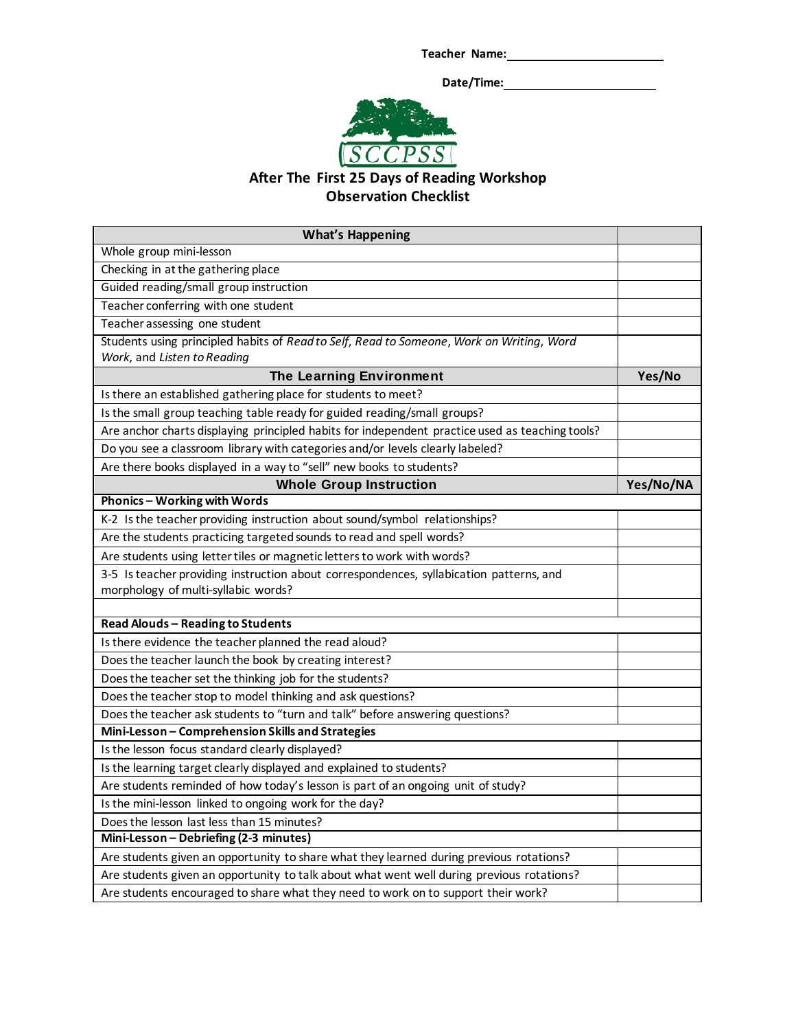**Teacher Name:**

 **Date/Time:**



## **After The First 25 Days of Reading Workshop Observation Checklist**

| <b>What's Happening</b>                                                                         |           |
|-------------------------------------------------------------------------------------------------|-----------|
| Whole group mini-lesson                                                                         |           |
| Checking in at the gathering place                                                              |           |
| Guided reading/small group instruction                                                          |           |
| Teacher conferring with one student                                                             |           |
| Teacher assessing one student                                                                   |           |
| Students using principled habits of Read to Self, Read to Someone, Work on Writing, Word        |           |
| Work, and Listen to Reading                                                                     |           |
| The Learning Environment                                                                        | Yes/No    |
| Is there an established gathering place for students to meet?                                   |           |
| Is the small group teaching table ready for guided reading/small groups?                        |           |
| Are anchor charts displaying principled habits for independent practice used as teaching tools? |           |
| Do you see a classroom library with categories and/or levels clearly labeled?                   |           |
| Are there books displayed in a way to "sell" new books to students?                             |           |
| <b>Whole Group Instruction</b>                                                                  | Yes/No/NA |
| Phonics - Working with Words                                                                    |           |
| K-2 Is the teacher providing instruction about sound/symbol relationships?                      |           |
| Are the students practicing targeted sounds to read and spell words?                            |           |
| Are students using letter tiles or magnetic letters to work with words?                         |           |
| 3-5 Is teacher providing instruction about correspondences, syllabication patterns, and         |           |
| morphology of multi-syllabic words?                                                             |           |
|                                                                                                 |           |
| <b>Read Alouds - Reading to Students</b>                                                        |           |
| Is there evidence the teacher planned the read aloud?                                           |           |
| Does the teacher launch the book by creating interest?                                          |           |
| Does the teacher set the thinking job for the students?                                         |           |
| Does the teacher stop to model thinking and ask questions?                                      |           |
| Does the teacher ask students to "turn and talk" before answering questions?                    |           |
| Mini-Lesson - Comprehension Skills and Strategies                                               |           |
| Is the lesson focus standard clearly displayed?                                                 |           |
| Is the learning target clearly displayed and explained to students?                             |           |
| Are students reminded of how today's lesson is part of an ongoing unit of study?                |           |
| Is the mini-lesson linked to ongoing work for the day?                                          |           |
| Does the lesson last less than 15 minutes?                                                      |           |
| Mini-Lesson - Debriefing (2-3 minutes)                                                          |           |
| Are students given an opportunity to share what they learned during previous rotations?         |           |
| Are students given an opportunity to talk about what went well during previous rotations?       |           |
| Are students encouraged to share what they need to work on to support their work?               |           |